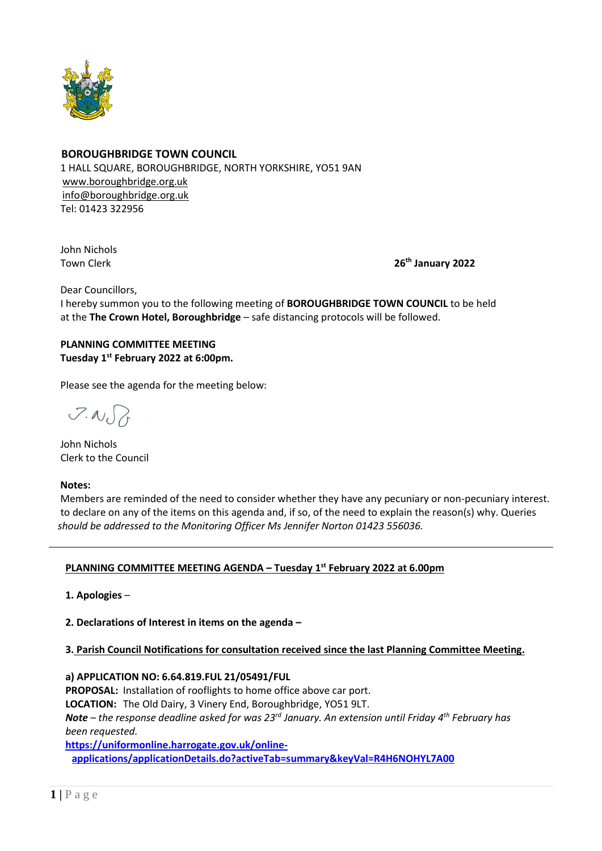

## **BOROUGHBRIDGE TOWN COUNCIL**

 1 HALL SQUARE, BOROUGHBRIDGE, NORTH YORKSHIRE, YO51 9AN [www.boroughbridge.org.uk](http://www.boroughbridge.org.uk/) [info@boroughbridge.org.uk](mailto:info@boroughbridge.org.uk) Tel: 01423 322956

 John Nichols **Town Clerk** 

**th January 2022**

Dear Councillors,

 I hereby summon you to the following meeting of **BOROUGHBRIDGE TOWN COUNCIL** to be held at the **The Crown Hotel, Boroughbridge** – safe distancing protocols will be followed.

# **PLANNING COMMITTEE MEETING Tuesday 1 st February 2022 at 6:00pm.**

Please see the agenda for the meeting below:

 $7.007$ 

 John Nichols Clerk to the Council

#### **Notes:**

 Members are reminded of the need to consider whether they have any pecuniary or non-pecuniary interest. to declare on any of the items on this agenda and, if so, of the need to explain the reason(s) why. Queries  *should be addressed to the Monitoring Officer Ms Jennifer Norton 01423 556036.* 

## **PLANNING COMMITTEE MEETING AGENDA – Tuesday 1 st February 2022 at 6.00pm**

 **1. Apologies** –

 **2. Declarations of Interest in items on the agenda –**

## **3. Parish Council Notifications for consultation received since the last Planning Committee Meeting.**

 **a) APPLICATION NO: 6.64.819.FUL 21/05491/FUL**

 **PROPOSAL:** Installation of rooflights to home office above car port.  **LOCATION:** The Old Dairy, 3 Vinery End, Boroughbridge, YO51 9LT. *Note – the response deadline asked for was 23rd January. An extension until Friday 4th February has been requested.*  **[https://uniformonline.harrogate.gov.uk/online-](https://uniformonline.harrogate.gov.uk/online-applications/applicationDetails.do?activeTab=summary&keyVal=R4H6NOHYL7A00)**

**[applications/applicationDetails.do?activeTab=summary&keyVal=R4H6NOHYL7A00](https://uniformonline.harrogate.gov.uk/online-applications/applicationDetails.do?activeTab=summary&keyVal=R4H6NOHYL7A00)**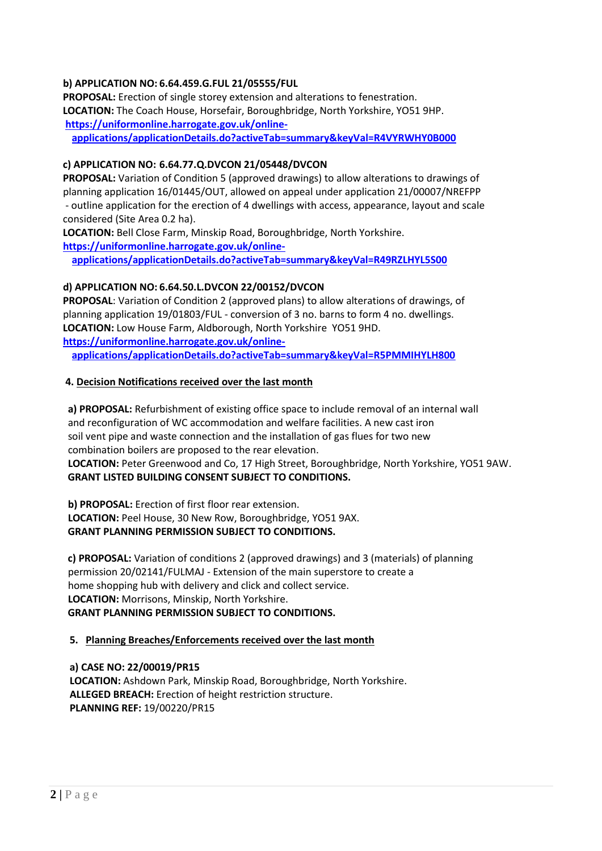## **b) APPLICATION NO: 6.64.459.G.FUL 21/05555/FUL**

 **PROPOSAL:** Erection of single storey extension and alterations to fenestration.  **LOCATION:** The Coach House, Horsefair, Boroughbridge, North Yorkshire, YO51 9HP.  **[https://uniformonline.harrogate.gov.uk/online-](https://uniformonline.harrogate.gov.uk/online-applications/applicationDetails.do?activeTab=summary&keyVal=R4VYRWHY0B000)**

**[applications/applicationDetails.do?activeTab=summary&keyVal=R4VYRWHY0B000](https://uniformonline.harrogate.gov.uk/online-applications/applicationDetails.do?activeTab=summary&keyVal=R4VYRWHY0B000)**

### **c) APPLICATION NO: 6.64.77.Q.DVCON 21/05448/DVCON**

 **PROPOSAL:** Variation of Condition 5 (approved drawings) to allow alterations to drawings of planning application 16/01445/OUT, allowed on appeal under application 21/00007/NREFPP - outline application for the erection of 4 dwellings with access, appearance, layout and scale considered (Site Area 0.2 ha).

 **LOCATION:** Bell Close Farm, Minskip Road, Boroughbridge, North Yorkshire.  **[https://uniformonline.harrogate.gov.uk/online-](https://uniformonline.harrogate.gov.uk/online-applications/applicationDetails.do?activeTab=summary&keyVal=R49RZLHYL5S00)**

**[applications/applicationDetails.do?activeTab=summary&keyVal=R49RZLHYL5S00](https://uniformonline.harrogate.gov.uk/online-applications/applicationDetails.do?activeTab=summary&keyVal=R49RZLHYL5S00)**

### **d) APPLICATION NO: 6.64.50.L.DVCON 22/00152/DVCON**

 **PROPOSAL**: Variation of Condition 2 (approved plans) to allow alterations of drawings, of planning application 19/01803/FUL - conversion of 3 no. barns to form 4 no. dwellings.  **LOCATION:** Low House Farm, Aldborough, North Yorkshire YO51 9HD.  **[https://uniformonline.harrogate.gov.uk/online](https://uniformonline.harrogate.gov.uk/online-applications/applicationDetails.do?activeTab=summary&keyVal=R5PMMIHYLH800)[applications/applicationDetails.do?activeTab=summary&keyVal=R5PMMIHYLH800](https://uniformonline.harrogate.gov.uk/online-applications/applicationDetails.do?activeTab=summary&keyVal=R5PMMIHYLH800)**

#### **4. Decision Notifications received over the last month**

 **a) PROPOSAL:** Refurbishment of existing office space to include removal of an internal wall and reconfiguration of WC accommodation and welfare facilities. A new cast iron soil vent pipe and waste connection and the installation of gas flues for two new combination boilers are proposed to the rear elevation.  **LOCATION:** Peter Greenwood and Co, 17 High Street, Boroughbridge, North Yorkshire, YO51 9AW.  **GRANT LISTED BUILDING CONSENT SUBJECT TO CONDITIONS.**

 **b) PROPOSAL:** Erection of first floor rear extension.  **LOCATION:** Peel House, 30 New Row, Boroughbridge, YO51 9AX.  **GRANT PLANNING PERMISSION SUBJECT TO CONDITIONS.**

 **c) PROPOSAL:** Variation of conditions 2 (approved drawings) and 3 (materials) of planning permission 20/02141/FULMAJ - Extension of the main superstore to create a home shopping hub with delivery and click and collect service.  **LOCATION:** Morrisons, Minskip, North Yorkshire.  **GRANT PLANNING PERMISSION SUBJECT TO CONDITIONS.**

#### **5. Planning Breaches/Enforcements received over the last month**

 **a) CASE NO: 22/00019/PR15 LOCATION:** Ashdown Park, Minskip Road, Boroughbridge, North Yorkshire.  **ALLEGED BREACH:** Erection of height restriction structure.  **PLANNING REF:** 19/00220/PR15